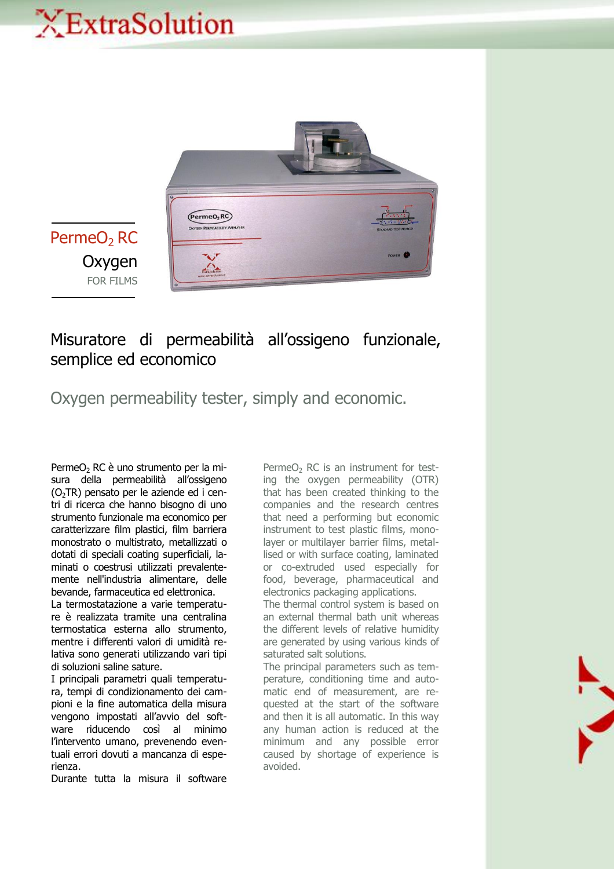## XExtraSolution



PermeO<sub>2</sub> RC **Oxygen** FOR FILMS

## Misuratore di permeabilità all'ossigeno funzionale, semplice ed economico

Oxygen permeability tester, simply and economic.

PermeO<sub>2</sub> RC è uno strumento per la misura della permeabilità all'ossigeno  $(O<sub>2</sub>TR)$  pensato per le aziende ed i centri di ricerca che hanno bisogno di uno strumento funzionale ma economico per caratterizzare film plastici, film barriera monostrato o multistrato, metallizzati o dotati di speciali coating superficiali, laminati o coestrusi utilizzati prevalentemente nell'industria alimentare, delle bevande, farmaceutica ed elettronica.

La termostatazione a varie temperature è realizzata tramite una centralina termostatica esterna allo strumento, mentre i differenti valori di umidità relativa sono generati utilizzando vari tipi di soluzioni saline sature.

I principali parametri quali temperatura, tempi di condizionamento dei campioni e la fine automatica della misura vengono impostati all'avvio del software riducendo così al minimo l'intervento umano, prevenendo eventuali errori dovuti a mancanza di esperienza.

Durante tutta la misura il software

 $PermeO<sub>2</sub> RC$  is an instrument for testing the oxygen permeability (OTR) that has been created thinking to the companies and the research centres that need a performing but economic instrument to test plastic films, monolayer or multilayer barrier films, metallised or with surface coating, laminated or co-extruded used especially for food, beverage, pharmaceutical and electronics packaging applications.

The thermal control system is based on an external thermal bath unit whereas the different levels of relative humidity are generated by using various kinds of saturated salt solutions.

The principal parameters such as temperature, conditioning time and automatic end of measurement, are requested at the start of the software and then it is all automatic. In this way any human action is reduced at the minimum and any possible error caused by shortage of experience is avoided.